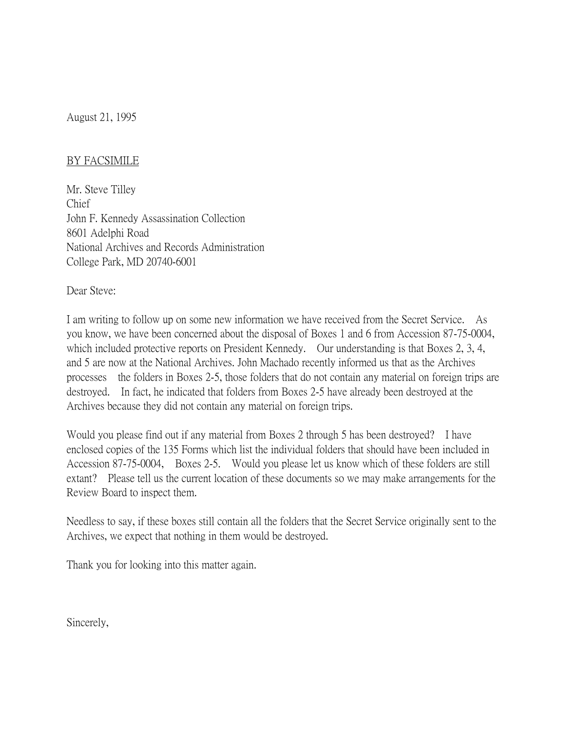August 21, 1995

## BY FACSIMILE

Mr. Steve Tilley Chief John F. Kennedy Assassination Collection 8601 Adelphi Road National Archives and Records Administration College Park, MD 20740-6001

Dear Steve:

I am writing to follow up on some new information we have received from the Secret Service. As you know, we have been concerned about the disposal of Boxes 1 and 6 from Accession 87-75-0004, which included protective reports on President Kennedy. Our understanding is that Boxes 2, 3, 4, and 5 are now at the National Archives. John Machado recently informed us that as the Archives processes the folders in Boxes 2-5, those folders that do not contain any material on foreign trips are destroyed. In fact, he indicated that folders from Boxes 2-5 have already been destroyed at the Archives because they did not contain any material on foreign trips.

Would you please find out if any material from Boxes 2 through 5 has been destroyed? I have enclosed copies of the 135 Forms which list the individual folders that should have been included in Accession 87-75-0004, Boxes 2-5. Would you please let us know which of these folders are still extant? Please tell us the current location of these documents so we may make arrangements for the Review Board to inspect them.

Needless to say, if these boxes still contain all the folders that the Secret Service originally sent to the Archives, we expect that nothing in them would be destroyed.

Thank you for looking into this matter again.

Sincerely,